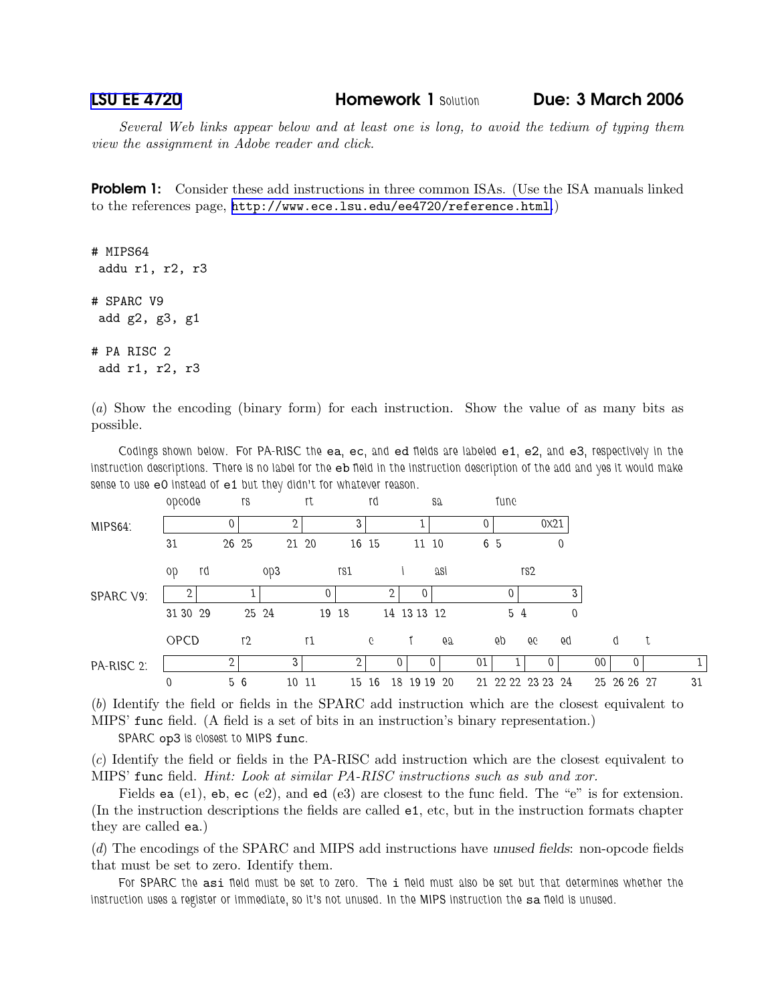LSU EE [4720](http://www.ece.lsu.edu/ee4720/) Homework 1 Solution Due: 3 March 2006

Several Web links appear below and at least one is long, to avoid the tedium of typing them view the assignment in Adobe reader and click.

**Problem 1:** Consider these add instructions in three common ISAs. (Use the ISA manuals linked to the references page, <http://www.ece.lsu.edu/ee4720/reference.html>.)

# MIPS64 addu r1, r2, r3 # SPARC V9 add g2, g3, g1 # PA RISC 2 add r1, r2, r3

(a) Show the encoding (binary form) for each instruction. Show the value of as many bits as possible.

Codings shown below. For PA-RISC the ea, ec, and ed fields are labeled e1, e2, and e3, respectively in the instruction descriptions. There is no label for the eb field in the instruction description of the add and yes it would make sense to use eO instead of e1 but they didn't for whatever reason.

| MIPS64:          | obcoge         | rs             |          | rt    |       | rd |             | S2  |    | fune              |          |              |    |             |    |
|------------------|----------------|----------------|----------|-------|-------|----|-------------|-----|----|-------------------|----------|--------------|----|-------------|----|
|                  |                |                |          |       | 3     |    |             |     |    |                   | 0x21     |              |    |             |    |
|                  | 31             | 26 25          | 21 20    |       | 16 15 |    | 11 10       |     |    | 6 5               |          | $\theta$     |    |             |    |
| <b>SPARC V9:</b> | rd<br>90       |                | $^{0p3}$ |       | rs1   |    |             | asi |    |                   | rs2      |              |    |             |    |
|                  | $\overline{2}$ |                |          |       |       | റ  | $\Omega$    |     |    |                   |          |              |    |             |    |
|                  | 31 30 29       |                | 25 24    | 19 18 |       |    | 14 13 13 12 |     |    | 5 4               |          | $\mathbf{0}$ |    |             |    |
|                  | OPCD           | r <sub>2</sub> |          | r1    |       | C  |             | 67  |    | 6p                | 66       | 6q           |    | đ           |    |
| PA-RISC 2:       |                | 2              | 3        |       | 2     |    |             |     | 01 |                   | $\Omega$ |              | 00 | $\Omega$    |    |
|                  | 0              | 5 6            | 10       | -11   | 15    | 16 | 18<br>19 19 | -20 |    | 21 22 22 23 23 24 |          |              |    | 25 26 26 27 | 31 |

(b) Identify the field or fields in the SPARC add instruction which are the closest equivalent to MIPS' func field. (A field is a set of bits in an instruction's binary representation.)

SPARC op3 is closest to MIPS func.

(c) Identify the field or fields in the PA-RISC add instruction which are the closest equivalent to MIPS' func field. Hint: Look at similar PA-RISC instructions such as sub and xor.

Fields ea (e1), eb, ec (e2), and ed (e3) are closest to the func field. The "e" is for extension. (In the instruction descriptions the fields are called e1, etc, but in the instruction formats chapter they are called ea.)

(d) The encodings of the SPARC and MIPS add instructions have unused fields: non-opcode fields that must be set to zero. Identify them.

For SPARC the asi field must be set to zero. The i field must also be set but that determines whether the instruction uses a register or immediate, so it's not unused. In the MIPS instruction the sa field is unused.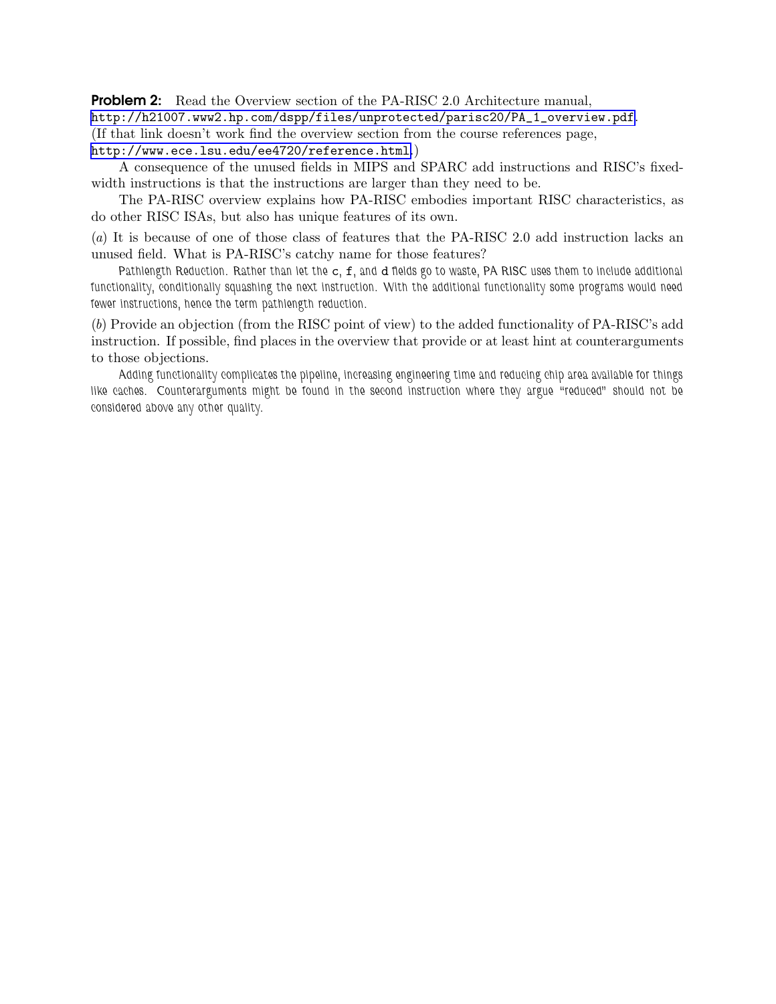**Problem 2:** Read the Overview section of the PA-RISC 2.0 Architecture manual, [http://h21007.www2.hp.com/dspp/files/unprotected/parisc20/PA\\_1\\_overview.pdf](http://h21007.www2.hp.com/dspp/files/unprotected/parisc20/PA_1_overview.pdf). (If that link doesn't work find the overview section from the course references page, <http://www.ece.lsu.edu/ee4720/reference.html>.)

A consequence of the unused fields in MIPS and SPARC add instructions and RISC's fixedwidth instructions is that the instructions are larger than they need to be.

The PA-RISC overview explains how PA-RISC embodies important RISC characteristics, as do other RISC ISAs, but also has unique features of its own.

(a) It is because of one of those class of features that the PA-RISC 2.0 add instruction lacks an unused field. What is PA-RISC's catchy name for those features?

Pathlength Reduction. Rather than let the c, f, and d fields go to waste, PA RISC uses them to include additional functionality, conditionally squashing the next instruction. With the additional functionality some programs would need fewer instructions, hence the term pathlength reduction.

(b) Provide an objection (from the RISC point of view) to the added functionality of PA-RISC's add instruction. If possible, find places in the overview that provide or at least hint at counterarguments to those objections.

Adding functionality complicates the pipeline, increasing engineering time and reducing chip area available for things like caches. Counterarguments might be found in the second instruction where they argue "reduced" should not be considered above any other quality.